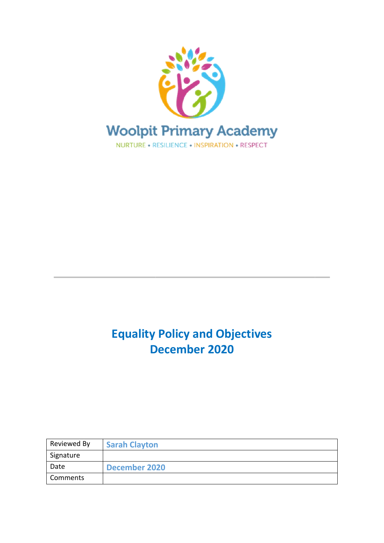

# **Equality Policy and Objectives December 2020**

**\_\_\_\_\_\_\_\_\_\_\_\_\_\_\_\_\_\_\_**

| Reviewed By | <b>Sarah Clayton</b> |
|-------------|----------------------|
| Signature   |                      |
| Date        | December 2020        |
| Comments    |                      |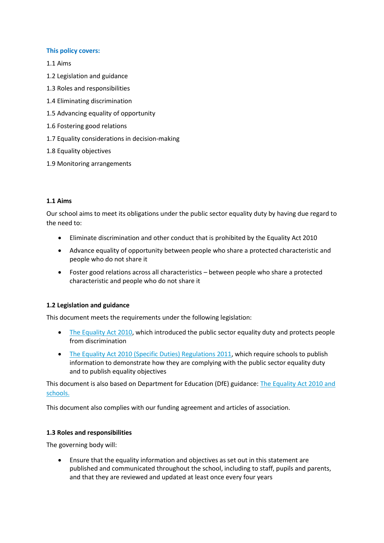#### **This policy covers:**

1.1 Aims

- 1.2 Legislation and guidance
- 1.3 Roles and responsibilities
- 1.4 Eliminating discrimination
- 1.5 Advancing equality of opportunity
- 1.6 Fostering good relations
- 1.7 Equality considerations in decision-making
- 1.8 Equality objectives
- 1.9 Monitoring arrangements

#### **1.1 Aims**

Our school aims to meet its obligations under the public sector equality duty by having due regard to the need to:

- Eliminate discrimination and other conduct that is prohibited by the Equality Act 2010
- Advance equality of opportunity between people who share a protected characteristic and people who do not share it
- Foster good relations across all characteristics between people who share a protected characteristic and people who do not share it

#### **1.2 Legislation and guidance**

This document meets the requirements under the following legislation:

- [The Equality Act 2010,](http://www.legislation.gov.uk/ukpga/2010/15/contents) which introduced the public sector equality duty and protects people from discrimination
- [The Equality Act 2010 \(Specific Duties\) Regulations 2011,](http://www.legislation.gov.uk/uksi/2011/2260/contents/made) which require schools to publish information to demonstrate how they are complying with the public sector equality duty and to publish equality objectives

This document is also based on Department for Education (DfE) guidance[: The Equality Act 2010 and](https://www.gov.uk/government/uploads/system/uploads/attachment_data/file/315587/Equality_Act_Advice_Final.pdf)  [schools.](https://www.gov.uk/government/uploads/system/uploads/attachment_data/file/315587/Equality_Act_Advice_Final.pdf) 

This document also complies with our funding agreement and articles of association.

#### **1.3 Roles and responsibilities**

The governing body will:

• Ensure that the equality information and objectives as set out in this statement are published and communicated throughout the school, including to staff, pupils and parents, and that they are reviewed and updated at least once every four years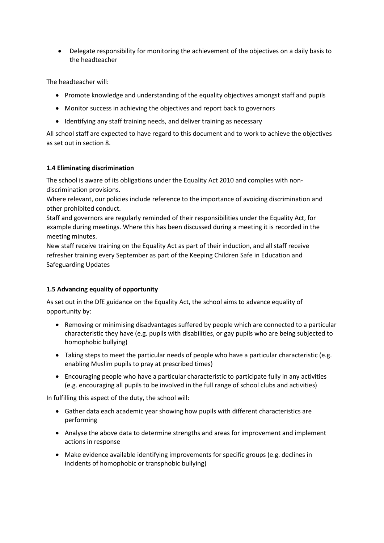• Delegate responsibility for monitoring the achievement of the objectives on a daily basis to the headteacher

The headteacher will:

- Promote knowledge and understanding of the equality objectives amongst staff and pupils
- Monitor success in achieving the objectives and report back to governors
- Identifying any staff training needs, and deliver training as necessary

All school staff are expected to have regard to this document and to work to achieve the objectives as set out in section 8.

## **1.4 Eliminating discrimination**

The school is aware of its obligations under the Equality Act 2010 and complies with nondiscrimination provisions.

Where relevant, our policies include reference to the importance of avoiding discrimination and other prohibited conduct.

Staff and governors are regularly reminded of their responsibilities under the Equality Act, for example during meetings. Where this has been discussed during a meeting it is recorded in the meeting minutes.

New staff receive training on the Equality Act as part of their induction, and all staff receive refresher training every September as part of the Keeping Children Safe in Education and Safeguarding Updates

## **1.5 Advancing equality of opportunity**

As set out in the DfE guidance on the Equality Act, the school aims to advance equality of opportunity by:

- Removing or minimising disadvantages suffered by people which are connected to a particular characteristic they have (e.g. pupils with disabilities, or gay pupils who are being subjected to homophobic bullying)
- Taking steps to meet the particular needs of people who have a particular characteristic (e.g. enabling Muslim pupils to pray at prescribed times)
- Encouraging people who have a particular characteristic to participate fully in any activities (e.g. encouraging all pupils to be involved in the full range of school clubs and activities)

In fulfilling this aspect of the duty, the school will:

- Gather data each academic year showing how pupils with different characteristics are performing
- Analyse the above data to determine strengths and areas for improvement and implement actions in response
- Make evidence available identifying improvements for specific groups (e.g. declines in incidents of homophobic or transphobic bullying)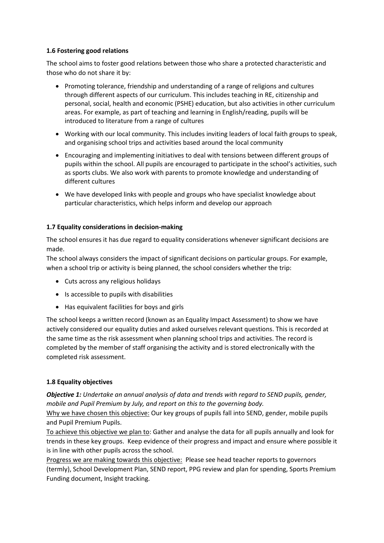#### **1.6 Fostering good relations**

The school aims to foster good relations between those who share a protected characteristic and those who do not share it by:

- Promoting tolerance, friendship and understanding of a range of religions and cultures through different aspects of our curriculum. This includes teaching in RE, citizenship and personal, social, health and economic (PSHE) education, but also activities in other curriculum areas. For example, as part of teaching and learning in English/reading, pupils will be introduced to literature from a range of cultures
- Working with our local community. This includes inviting leaders of local faith groups to speak, and organising school trips and activities based around the local community
- Encouraging and implementing initiatives to deal with tensions between different groups of pupils within the school. All pupils are encouraged to participate in the school's activities, such as sports clubs. We also work with parents to promote knowledge and understanding of different cultures
- We have developed links with people and groups who have specialist knowledge about particular characteristics, which helps inform and develop our approach

## **1.7 Equality considerations in decision-making**

The school ensures it has due regard to equality considerations whenever significant decisions are made.

The school always considers the impact of significant decisions on particular groups. For example, when a school trip or activity is being planned, the school considers whether the trip:

- Cuts across any religious holidays
- Is accessible to pupils with disabilities
- Has equivalent facilities for boys and girls

The school keeps a written record (known as an Equality Impact Assessment) to show we have actively considered our equality duties and asked ourselves relevant questions. This is recorded at the same time as the risk assessment when planning school trips and activities. The record is completed by the member of staff organising the activity and is stored electronically with the completed risk assessment.

## **1.8 Equality objectives**

*Objective 1: Undertake an annual analysis of data and trends with regard to SEND pupils, gender, mobile and Pupil Premium by July, and report on this to the governing body.*

Why we have chosen this objective: Our key groups of pupils fall into SEND, gender, mobile pupils and Pupil Premium Pupils.

To achieve this objective we plan to: Gather and analyse the data for all pupils annually and look for trends in these key groups. Keep evidence of their progress and impact and ensure where possible it is in line with other pupils across the school.

Progress we are making towards this objective: Please see head teacher reports to governors (termly), School Development Plan, SEND report, PPG review and plan for spending, Sports Premium Funding document, Insight tracking.